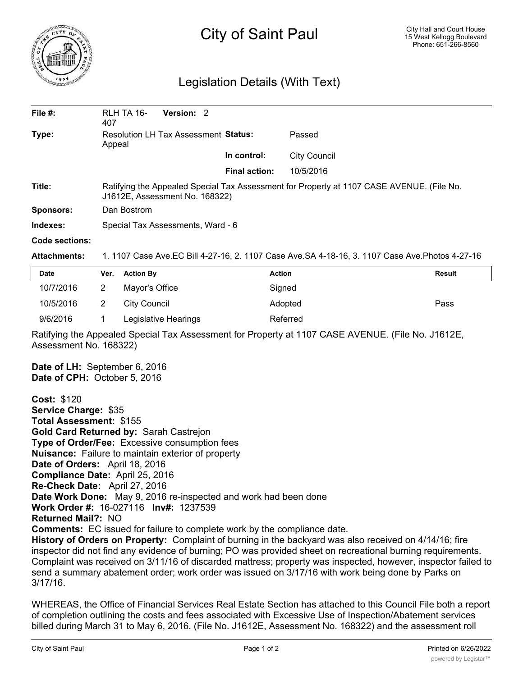

## City of Saint Paul

## Legislation Details (With Text)

| File $#$ :     | RLH TA 16-<br>407                                                                                                           | Version: 2 |                      |                     |  |  |
|----------------|-----------------------------------------------------------------------------------------------------------------------------|------------|----------------------|---------------------|--|--|
| Type:          | Resolution LH Tax Assessment Status:<br>Appeal                                                                              |            |                      | Passed              |  |  |
|                |                                                                                                                             |            | In control:          | <b>City Council</b> |  |  |
|                |                                                                                                                             |            | <b>Final action:</b> | 10/5/2016           |  |  |
| Title:         | Ratifying the Appealed Special Tax Assessment for Property at 1107 CASE AVENUE. (File No.<br>J1612E, Assessment No. 168322) |            |                      |                     |  |  |
| Sponsors:      | Dan Bostrom                                                                                                                 |            |                      |                     |  |  |
| Indexes:       | Special Tax Assessments, Ward - 6                                                                                           |            |                      |                     |  |  |
| Code sections: |                                                                                                                             |            |                      |                     |  |  |

## **Attachments:** 1. 1107 Case Ave.EC Bill 4-27-16, 2. 1107 Case Ave.SA 4-18-16, 3. 1107 Case Ave.Photos 4-27-16

| Date      | Ver. | <b>Action By</b>     | <b>Action</b> | Result |
|-----------|------|----------------------|---------------|--------|
| 10/7/2016 |      | Mayor's Office       | Signed        |        |
| 10/5/2016 |      | City Council         | Adopted       | Pass   |
| 9/6/2016  |      | Legislative Hearings | Referred      |        |

Ratifying the Appealed Special Tax Assessment for Property at 1107 CASE AVENUE. (File No. J1612E, Assessment No. 168322)

**Date of LH:** September 6, 2016 **Date of CPH:** October 5, 2016

**Cost:** \$120 **Service Charge:** \$35 **Total Assessment:** \$155 **Gold Card Returned by:** Sarah Castrejon **Type of Order/Fee:** Excessive consumption fees **Nuisance:** Failure to maintain exterior of property **Date of Orders:** April 18, 2016 **Compliance Date:** April 25, 2016 **Re-Check Date:** April 27, 2016 **Date Work Done:** May 9, 2016 re-inspected and work had been done **Work Order #:** 16-027116 **Inv#:** 1237539 **Returned Mail?:** NO **Comments:** EC issued for failure to complete work by the compliance date. **History of Orders on Property:** Complaint of burning in the backyard was also received on 4/14/16; fire inspector did not find any evidence of burning; PO was provided sheet on recreational burning requirements. Complaint was received on 3/11/16 of discarded mattress; property was inspected, however, inspector failed to send a summary abatement order; work order was issued on 3/17/16 with work being done by Parks on 3/17/16.

WHEREAS, the Office of Financial Services Real Estate Section has attached to this Council File both a report of completion outlining the costs and fees associated with Excessive Use of Inspection/Abatement services billed during March 31 to May 6, 2016. (File No. J1612E, Assessment No. 168322) and the assessment roll